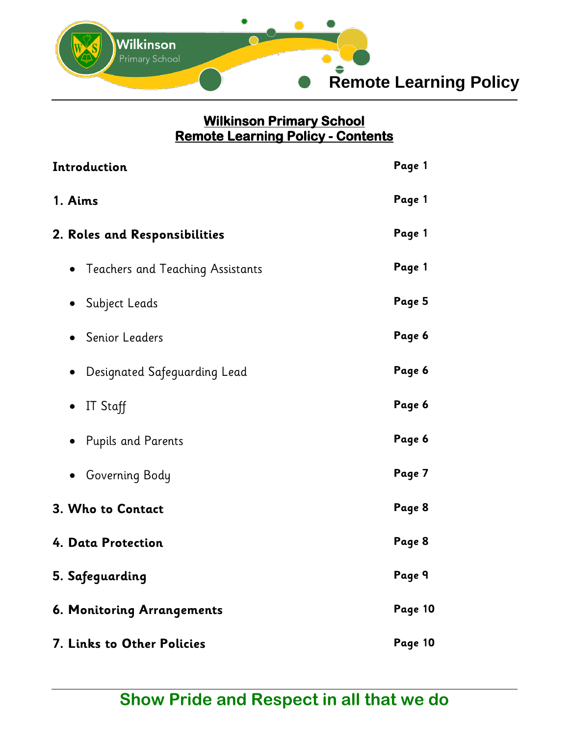

## **Wilkinson Primary School Remote Learning Policy - Contents**

| Introduction                              | Page 1  |
|-------------------------------------------|---------|
| 1. Aims                                   | Page 1  |
| 2. Roles and Responsibilities             | Page 1  |
| • Teachers and Teaching Assistants        | Page 1  |
| Subject Leads                             | Page 5  |
| • Senior Leaders                          | Page 6  |
| Designated Safeguarding Lead<br>$\bullet$ | Page 6  |
| IT Staff<br>$\bullet$                     | Page 6  |
| <b>Pupils and Parents</b>                 | Page 6  |
| Governing Body                            | Page 7  |
| 3. Who to Contact                         | Page 8  |
| 4. Data Protection                        | Page 8  |
| 5. Safeguarding                           | Page 9  |
| 6. Monitoring Arrangements                | Page 10 |
| 7. Links to Other Policies                | Page 10 |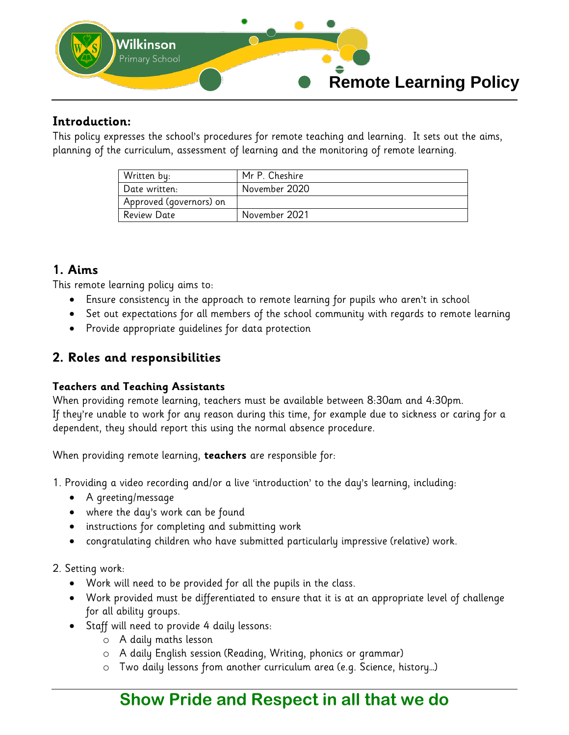

### **Introduction:**

This policy expresses the school's procedures for remote teaching and learning. It sets out the aims, planning of the curriculum, assessment of learning and the monitoring of remote learning.

| Written by:             | Mr P. Cheshire |
|-------------------------|----------------|
| Date written:           | November 2020  |
| Approved (governors) on |                |
| ı Review Date           | November 2021  |

### **1. Aims**

This remote learning policy aims to:

- Ensure consistency in the approach to remote learning for pupils who aren't in school
- Set out expectations for all members of the school community with regards to remote learning
- Provide appropriate quidelines for data protection

### **2. Roles and responsibilities**

#### **Teachers and Teaching Assistants**

When providing remote learning, teachers must be available between 8:30am and 4:30pm. If they're unable to work for any reason during this time, for example due to sickness or caring for a dependent, they should report this using the normal absence procedure.

When providing remote learning, **teachers** are responsible for:

- 1. Providing a video recording and/or a live 'introduction' to the day's learning, including:
	- A greeting/message
	- where the day's work can be found
	- instructions for completing and submitting work
	- congratulating children who have submitted particularly impressive (relative) work.

#### 2. Setting work:

- Work will need to be provided for all the pupils in the class.
- Work provided must be differentiated to ensure that it is at an appropriate level of challenge for all ability groups.
- Staff will need to provide 4 daily lessons:
	- o A daily maths lesson
	- o A daily English session (Reading, Writing, phonics or grammar)
	- o Two daily lessons from another curriculum area (e.g. Science, history…)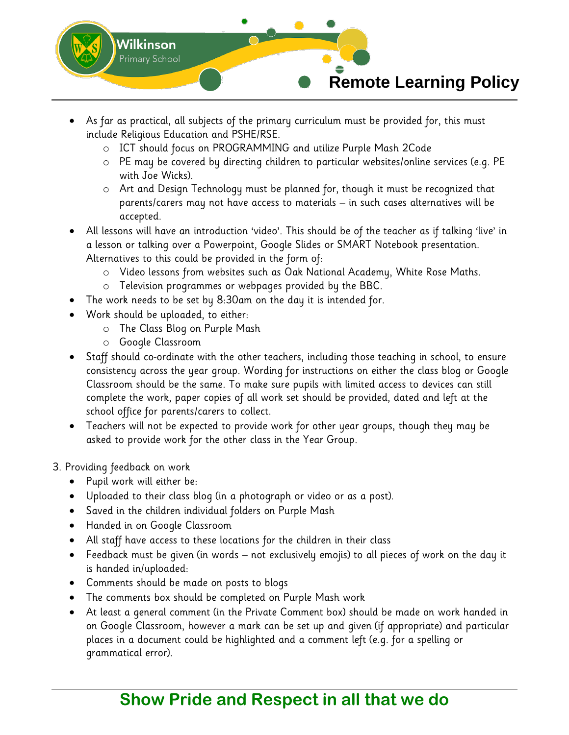

- As far as practical, all subjects of the primary curriculum must be provided for, this must include Religious Education and PSHE/RSE.
	- o ICT should focus on PROGRAMMING and utilize Purple Mash 2Code
	- o PE may be covered by directing children to particular websites/online services (e.g. PE with Joe Wicks).
	- o Art and Design Technology must be planned for, though it must be recognized that parents/carers may not have access to materials – in such cases alternatives will be accepted.
- All lessons will have an introduction 'video'. This should be of the teacher as if talking 'live' in a lesson or talking over a Powerpoint, Google Slides or SMART Notebook presentation. Alternatives to this could be provided in the form of:
	- o Video lessons from websites such as Oak National Academy, White Rose Maths.
	- o Television programmes or webpages provided by the BBC.
- The work needs to be set by 8:30am on the day it is intended for.
- Work should be uploaded, to either:
	- o The Class Blog on Purple Mash
	- o Google Classroom
- Staff should co-ordinate with the other teachers, including those teaching in school, to ensure consistency across the year group. Wording for instructions on either the class blog or Google Classroom should be the same. To make sure pupils with limited access to devices can still complete the work, paper copies of all work set should be provided, dated and left at the school office for parents/carers to collect.
- Teachers will not be expected to provide work for other year groups, though they may be asked to provide work for the other class in the Year Group.
- 3. Providing feedback on work
	- Pupil work will either be:
	- Uploaded to their class blog (in a photograph or video or as a post).
	- Saved in the children individual folders on Purple Mash
	- Handed in on Google Classroom
	- All staff have access to these locations for the children in their class
	- Feedback must be given (in words not exclusively emojis) to all pieces of work on the day it is handed in/uploaded:
	- Comments should be made on posts to blogs
	- The comments box should be completed on Purple Mash work
	- At least a general comment (in the Private Comment box) should be made on work handed in on Google Classroom, however a mark can be set up and given (if appropriate) and particular places in a document could be highlighted and a comment left (e.g. for a spelling or grammatical error).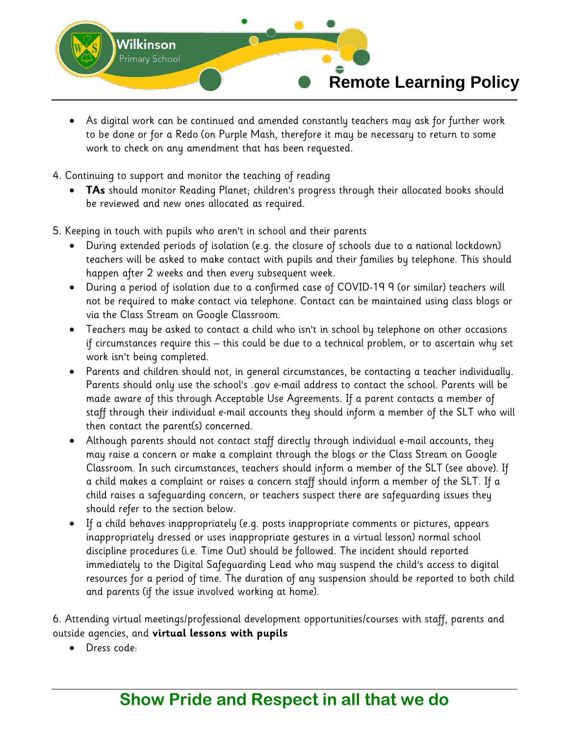

- As digital work can be continued and amended constantly teachers may ask for further work to be done or for a Redo (on Purple Mash, therefore it may be necessary to return to some work to check on any amendment that has been requested.
- 4. Continuing to support and monitor the teaching of reading
	- **TAs** should monitor Reading Planet; children's progress through their allocated books should be reviewed and new ones allocated as required.
- 5. Keeping in touch with pupils who aren't in school and their parents
	- During extended periods of isolation (e.g. the closure of schools due to a national lockdown) teachers will be asked to make contact with pupils and their families by telephone. This should happen after 2 weeks and then every subsequent week.
	- During a period of isolation due to a confirmed case of COVID-19 9 (or similar) teachers will not be required to make contact via telephone. Contact can be maintained using class blogs or via the Class Stream on Google Classroom.
	- Teachers may be asked to contact a child who isn't in school by telephone on other occasions if circumstances require this – this could be due to a technical problem, or to ascertain why set work isn't being completed.
	- Parents and children should not, in general circumstances, be contacting a teacher individually. Parents should only use the school's .gov e-mail address to contact the school. Parents will be made aware of this through Acceptable Use Agreements. If a parent contacts a member of staff through their individual e-mail accounts they should inform a member of the SLT who will then contact the parent(s) concerned.
	- Although parents should not contact staff directly through individual e-mail accounts, they may raise a concern or make a complaint through the blogs or the Class Stream on Google Classroom. In such circumstances, teachers should inform a member of the SLT (see above). If a child makes a complaint or raises a concern staff should inform a member of the SLT. If a child raises a safeguarding concern, or teachers suspect there are safeguarding issues they should refer to the section below.
	- If a child behaves inappropriately (e.g. posts inappropriate comments or pictures, appears inappropriately dressed or uses inappropriate gestures in a virtual lesson) normal school discipline procedures (i.e. Time Out) should be followed. The incident should reported immediately to the Digital Safeguarding Lead who may suspend the child's access to digital resources for a period of time. The duration of any suspension should be reported to both child and parents (if the issue involved working at home).

6. Attending virtual meetings/professional development opportunities/courses with staff, parents and outside agencies, and **virtual lessons with pupils**

Dress code: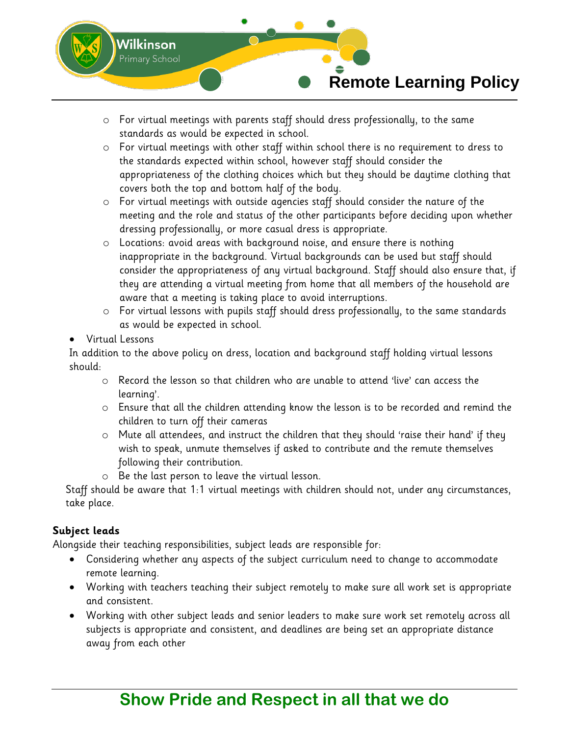

- o For virtual meetings with parents staff should dress professionally, to the same standards as would be expected in school.
- o For virtual meetings with other staff within school there is no requirement to dress to the standards expected within school, however staff should consider the appropriateness of the clothing choices which but they should be daytime clothing that covers both the top and bottom half of the body.
- o For virtual meetings with outside agencies staff should consider the nature of the meeting and the role and status of the other participants before deciding upon whether dressing professionally, or more casual dress is appropriate.
- o Locations: avoid areas with background noise, and ensure there is nothing inappropriate in the background. Virtual backgrounds can be used but staff should consider the appropriateness of any virtual background. Staff should also ensure that, if they are attending a virtual meeting from home that all members of the household are aware that a meeting is taking place to avoid interruptions.
- $\circ$  For virtual lessons with pupils staff should dress professionally, to the same standards as would be expected in school.
- Virtual Lessons

In addition to the above policy on dress, location and background staff holding virtual lessons should:

- o Record the lesson so that children who are unable to attend 'live' can access the learning'.
- o Ensure that all the children attending know the lesson is to be recorded and remind the children to turn off their cameras
- o Mute all attendees, and instruct the children that they should 'raise their hand' if they wish to speak, unmute themselves if asked to contribute and the remute themselves following their contribution.
- o Be the last person to leave the virtual lesson.

Staff should be aware that 1:1 virtual meetings with children should not, under any circumstances, take place.

### **Subject leads**

Alongside their teaching responsibilities, subject leads are responsible for:

- Considering whether any aspects of the subject curriculum need to change to accommodate remote learning.
- Working with teachers teaching their subject remotely to make sure all work set is appropriate and consistent.
- Working with other subject leads and senior leaders to make sure work set remotely across all subjects is appropriate and consistent, and deadlines are being set an appropriate distance away from each other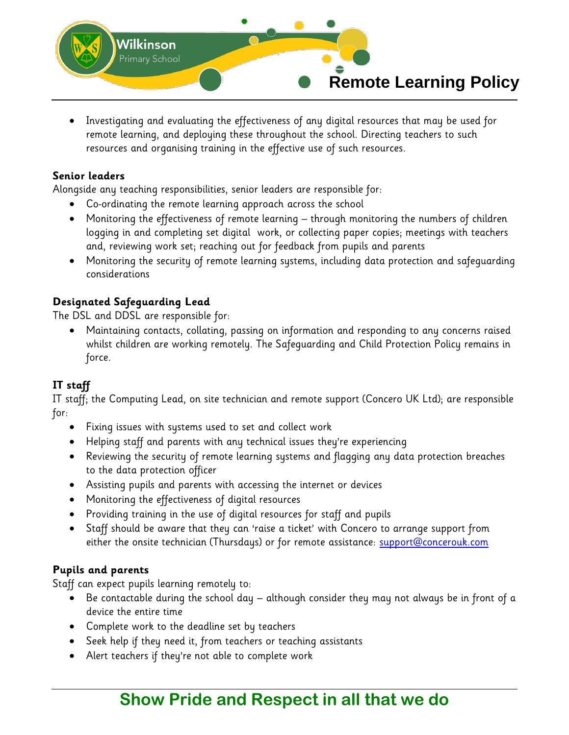

 Investigating and evaluating the effectiveness of any digital resources that may be used for remote learning, and deploying these throughout the school. Directing teachers to such resources and organising training in the effective use of such resources.

#### **Senior leaders**

Alongside any teaching responsibilities, senior leaders are responsible for:

- Co-ordinating the remote learning approach across the school
- Monitoring the effectiveness of remote learning through monitoring the numbers of children logging in and completing set digital work, or collecting paper copies; meetings with teachers and, reviewing work set; reaching out for feedback from pupils and parents
- Monitoring the security of remote learning systems, including data protection and safeguarding considerations

### **Designated Safeguarding Lead**

The DSL and DDSL are responsible for:

 Maintaining contacts, collating, passing on information and responding to any concerns raised whilst children are working remotely. The Safeguarding and Child Protection Policy remains in force.

#### **IT staff**

IT staff; the Computing Lead, on site technician and remote support (Concero UK Ltd); are responsible for:

- Fixing issues with systems used to set and collect work
- Helping staff and parents with any technical issues they're experiencing
- Reviewing the security of remote learning systems and flagging any data protection breaches to the data protection officer
- Assisting pupils and parents with accessing the internet or devices
- Monitoring the effectiveness of digital resources
- Providing training in the use of digital resources for staff and pupils
- Staff should be aware that they can 'raise a ticket' with Concero to arrange support from either the onsite technician (Thursdays) or for remote assistance: **support@concerouk.com**

#### **Pupils and parents**

Staff can expect pupils learning remotely to:

- Be contactable during the school day although consider they may not always be in front of a device the entire time
- Complete work to the deadline set by teachers
- Seek help if they need it, from teachers or teaching assistants
- Alert teachers if they're not able to complete work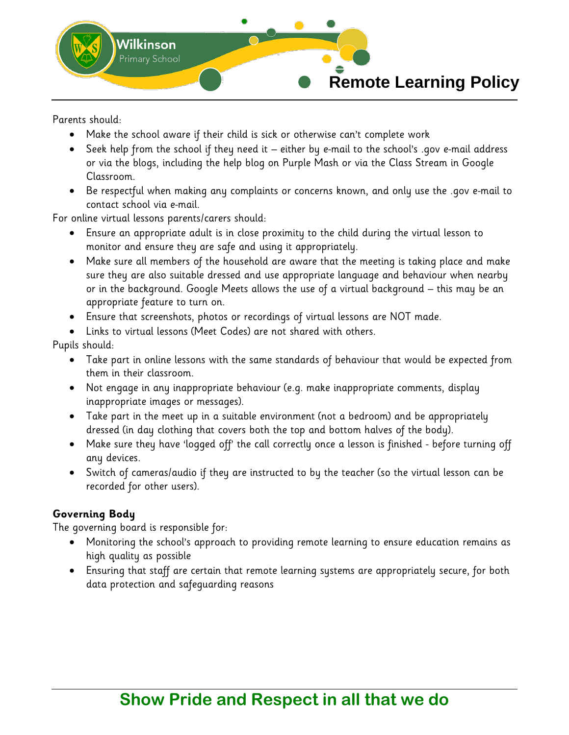

Parents should:

- Make the school aware if their child is sick or otherwise can't complete work
- Seek help from the school if they need it either by e-mail to the school's .gov e-mail address or via the blogs, including the help blog on Purple Mash or via the Class Stream in Google Classroom.
- Be respectful when making any complaints or concerns known, and only use the .gov e-mail to contact school via e-mail.

For online virtual lessons parents/carers should:

- Ensure an appropriate adult is in close proximity to the child during the virtual lesson to monitor and ensure they are safe and using it appropriately.
- Make sure all members of the household are aware that the meeting is taking place and make sure they are also suitable dressed and use appropriate language and behaviour when nearby or in the background. Google Meets allows the use of a virtual background – this may be an appropriate feature to turn on.
- Ensure that screenshots, photos or recordings of virtual lessons are NOT made.
- Links to virtual lessons (Meet Codes) are not shared with others.

Pupils should:

- Take part in online lessons with the same standards of behaviour that would be expected from them in their classroom.
- Not engage in any inappropriate behaviour (e.g. make inappropriate comments, display inappropriate images or messages).
- Take part in the meet up in a suitable environment (not a bedroom) and be appropriately dressed (in day clothing that covers both the top and bottom halves of the body).
- Make sure they have 'logged off' the call correctly once a lesson is finished before turning off any devices.
- Switch of cameras/audio if they are instructed to by the teacher (so the virtual lesson can be recorded for other users).

#### **Governing Body**

The governing board is responsible for:

- Monitoring the school's approach to providing remote learning to ensure education remains as high quality as possible
- Ensuring that staff are certain that remote learning systems are appropriately secure, for both data protection and safeguarding reasons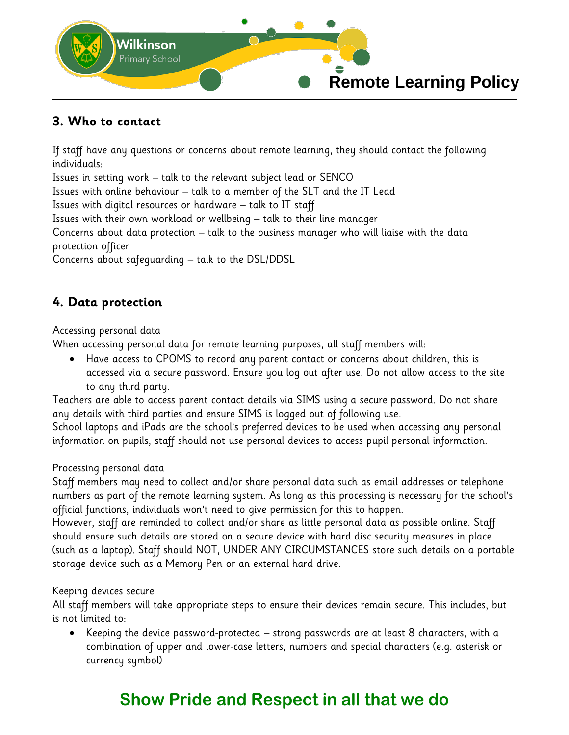

### **3. Who to contact**

If staff have any questions or concerns about remote learning, they should contact the following individuals:

Issues in setting work – talk to the relevant subject lead or SENCO

Issues with online behaviour – talk to a member of the SLT and the IT Lead

Issues with digital resources or hardware – talk to IT staff

Issues with their own workload or wellbeing – talk to their line manager

Concerns about data protection – talk to the business manager who will liaise with the data protection officer

Concerns about safeguarding – talk to the DSL/DDSL

## **4. Data protection**

#### Accessing personal data

When accessing personal data for remote learning purposes, all staff members will:

 Have access to CPOMS to record any parent contact or concerns about children, this is accessed via a secure password. Ensure you log out after use. Do not allow access to the site to any third party.

Teachers are able to access parent contact details via SIMS using a secure password. Do not share any details with third parties and ensure SIMS is logged out of following use.

School laptops and iPads are the school's preferred devices to be used when accessing any personal information on pupils, staff should not use personal devices to access pupil personal information.

#### Processing personal data

Staff members may need to collect and/or share personal data such as email addresses or telephone numbers as part of the remote learning system. As long as this processing is necessary for the school's official functions, individuals won't need to give permission for this to happen.

However, staff are reminded to collect and/or share as little personal data as possible online. Staff should ensure such details are stored on a secure device with hard disc security measures in place (such as a laptop). Staff should NOT, UNDER ANY CIRCUMSTANCES store such details on a portable storage device such as a Memory Pen or an external hard drive.

#### Keeping devices secure

All staff members will take appropriate steps to ensure their devices remain secure. This includes, but is not limited to:

 Keeping the device password-protected – strong passwords are at least 8 characters, with a combination of upper and lower-case letters, numbers and special characters (e.g. asterisk or currency symbol)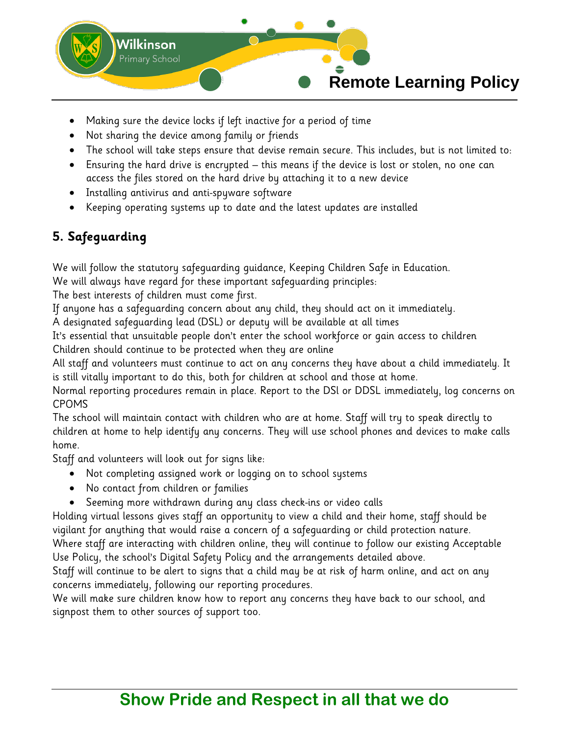

- Making sure the device locks if left inactive for a period of time
- Not sharing the device among family or friends
- The school will take steps ensure that devise remain secure. This includes, but is not limited to:
- Ensuring the hard drive is encrypted this means if the device is lost or stolen, no one can access the files stored on the hard drive by attaching it to a new device
- Installing antivirus and anti-spyware software
- Keeping operating systems up to date and the latest updates are installed

## **5. Safeguarding**

We will follow the statutory safeguarding guidance, Keeping Children Safe in Education.

We will always have regard for these important safeguarding principles:

The best interests of children must come first.

If anyone has a safeguarding concern about any child, they should act on it immediately.

A designated safeguarding lead (DSL) or deputy will be available at all times

It's essential that unsuitable people don't enter the school workforce or gain access to children Children should continue to be protected when they are online

All staff and volunteers must continue to act on any concerns they have about a child immediately. It is still vitally important to do this, both for children at school and those at home.

Normal reporting procedures remain in place. Report to the DSl or DDSL immediately, log concerns on CPOMS

The school will maintain contact with children who are at home. Staff will try to speak directly to children at home to help identify any concerns. They will use school phones and devices to make calls home.

Staff and volunteers will look out for signs like:

- Not completing assigned work or logging on to school systems
- No contact from children or families
- Seeming more withdrawn during any class check-ins or video calls

Holding virtual lessons gives staff an opportunity to view a child and their home, staff should be vigilant for anything that would raise a concern of a safeguarding or child protection nature.

Where staff are interacting with children online, they will continue to follow our existing Acceptable Use Policy, the school's Digital Safety Policy and the arrangements detailed above.

Staff will continue to be alert to signs that a child may be at risk of harm online, and act on any concerns immediately, following our reporting procedures.

We will make sure children know how to report any concerns they have back to our school, and signpost them to other sources of support too.